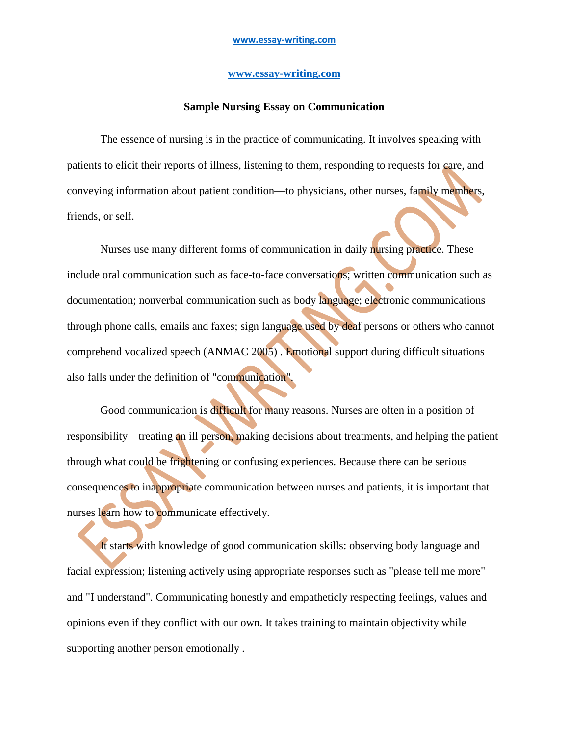## **[www.essay-writing.com](http://www.essay-writing.com/)**

## **Sample Nursing Essay on Communication**

The essence of nursing is in the practice of communicating. It involves speaking with patients to elicit their reports of illness, listening to them, responding to requests for care, and conveying information about patient condition—to physicians, other nurses, family members, friends, or self.

Nurses use many different forms of communication in daily nursing practice. These include oral communication such as face-to-face conversations; written communication such as documentation; nonverbal communication such as body language; electronic communications through phone calls, emails and faxes; sign language used by deaf persons or others who cannot comprehend vocalized speech (ANMAC 2005) . Emotional support during difficult situations also falls under the definition of "communication".

Good communication is difficult for many reasons. Nurses are often in a position of responsibility—treating an ill person, making decisions about treatments, and helping the patient through what could be frightening or confusing experiences. Because there can be serious consequences to inappropriate communication between nurses and patients, it is important that nurses learn how to communicate effectively.

It starts with knowledge of good communication skills: observing body language and facial expression; listening actively using appropriate responses such as "please tell me more" and "I understand". Communicating honestly and empatheticly respecting feelings, values and opinions even if they conflict with our own. It takes training to maintain objectivity while supporting another person emotionally .